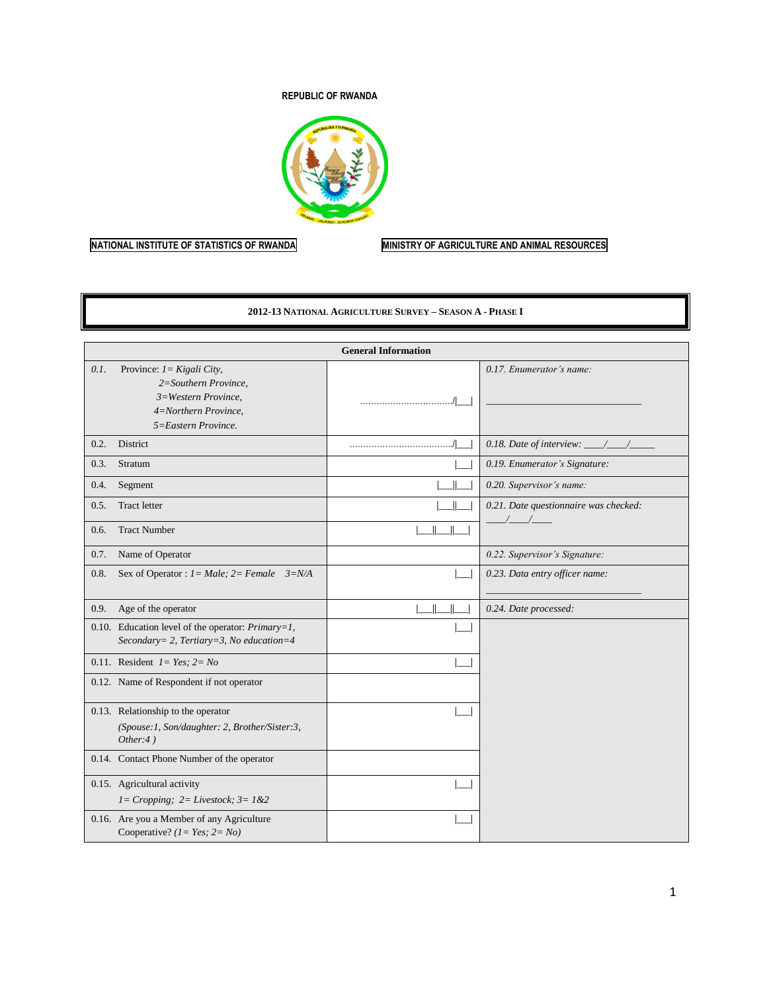#### **REPUBLIC OF RWANDA**



# **NATIONAL INSTITUTE OF STATISTICS OF RWANDA MINISTRY OF AGRICULTURE AND ANIMAL RESOURCES**

#### **2012-13 NATIONAL AGRICULTURE SURVEY – SEASON A - PHASE I**

|      |                                                                                                                             | <b>General Information</b> |                                                                   |
|------|-----------------------------------------------------------------------------------------------------------------------------|----------------------------|-------------------------------------------------------------------|
| 0.1. | Province: $1 = Kigali City$ ,<br>2=Southern Province,<br>3=Western Province,<br>4=Northern Province,<br>5=Eastern Province. |                            | 0.17. Enumerator's name:                                          |
| 0.2. | District                                                                                                                    |                            | 0.18. Date of interview: $\_\_\_\_\_\_\_\_\_\_\_\_\_\_\_\_\_\_\_$ |
| 0.3. | Stratum                                                                                                                     |                            | 0.19. Enumerator's Signature:                                     |
| 0.4. | Segment                                                                                                                     |                            | 0.20. Supervisor's name:                                          |
| 0.5. | <b>Tract letter</b>                                                                                                         |                            | 0.21. Date questionnaire was checked:                             |
| 0.6. | <b>Tract Number</b>                                                                                                         |                            | $\frac{1}{2}$                                                     |
| 0.7. | Name of Operator                                                                                                            |                            | 0.22. Supervisor's Signature:                                     |
| 0.8. | Sex of Operator : $I = Male$ ; $2 = Female$ $3=N/A$                                                                         |                            | 0.23. Data entry officer name:                                    |
| 0.9. | Age of the operator                                                                                                         |                            | 0.24. Date processed:                                             |
|      | 0.10. Education level of the operator: $Primary=1$ ,<br>Secondary= 2, Tertiary=3, No education=4                            |                            |                                                                   |
|      | 0.11. Resident $1 = Yes$ ; $2 = No$                                                                                         |                            |                                                                   |
|      | 0.12. Name of Respondent if not operator                                                                                    |                            |                                                                   |
|      | 0.13. Relationship to the operator<br>(Spouse:1, Son/daughter: 2, Brother/Sister:3,<br>Other: $4)$                          |                            |                                                                   |
|      | 0.14. Contact Phone Number of the operator                                                                                  |                            |                                                                   |
|      | 0.15. Agricultural activity<br>$1 = Cropping$ ; $2 = Lives tock$ ; $3 = 1 & 2$                                              |                            |                                                                   |
|      | 0.16. Are you a Member of any Agriculture<br>Cooperative? $(l = Yes; 2 = No)$                                               |                            |                                                                   |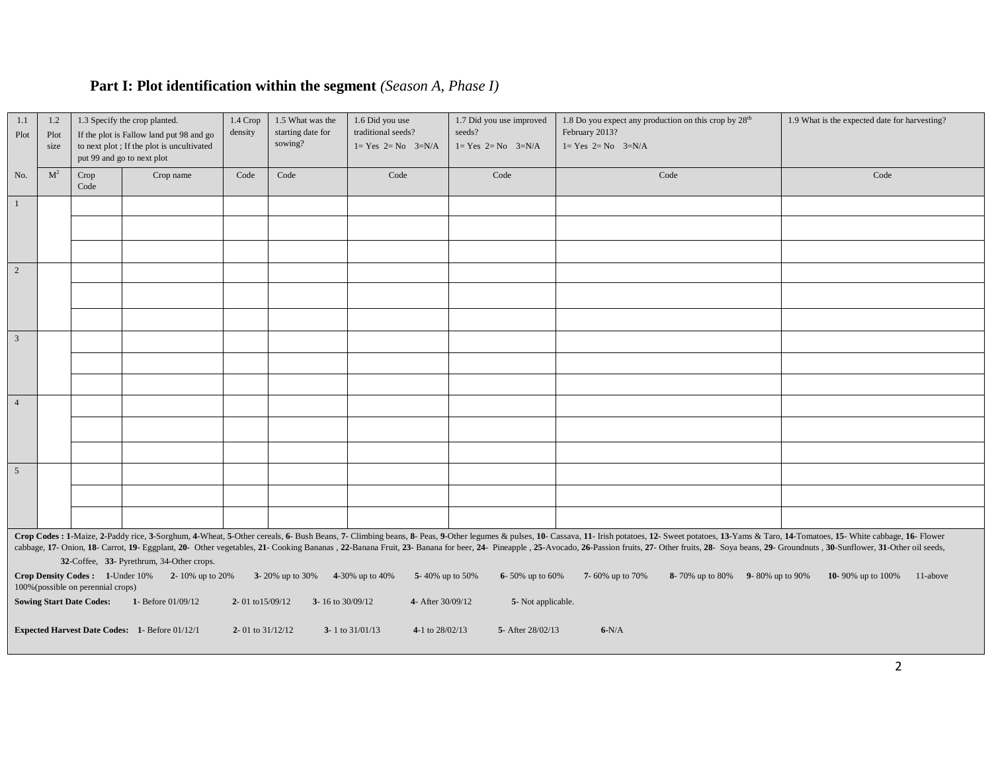# **Part I: Plot identification within the segment** *(Season A, Phase I)*

| 1.1<br>1.2<br>1.3 Specify the crop planted.<br>If the plot is Fallow land put 98 and go<br>Plot<br>Plot<br>to next plot; If the plot is uncultivated<br>size<br>put 99 and go to next plot |                                                                                                                                                                                                                                                                                                                                                                                                                                                                                                               | 1.4 Crop<br>density                                                   | 1.5 What was the<br>starting date for<br>sowing?                      | 1.6 Did you use<br>traditional seeds?<br>$1 = Yes$ $2 = No$ $3=N/A$ | 1.7 Did you use improved<br>seeds?<br>$1 = Yes$ $2 = No$ $3=N/A$ | 1.8 Do you expect any production on this crop by 28 <sup>th</sup><br>February 2013?<br>$1 = Yes$ $2 = No$ $3=N/A$ |                                       | 1.9 What is the expected date for harvesting? |                                 |                               |
|--------------------------------------------------------------------------------------------------------------------------------------------------------------------------------------------|---------------------------------------------------------------------------------------------------------------------------------------------------------------------------------------------------------------------------------------------------------------------------------------------------------------------------------------------------------------------------------------------------------------------------------------------------------------------------------------------------------------|-----------------------------------------------------------------------|-----------------------------------------------------------------------|---------------------------------------------------------------------|------------------------------------------------------------------|-------------------------------------------------------------------------------------------------------------------|---------------------------------------|-----------------------------------------------|---------------------------------|-------------------------------|
| No.                                                                                                                                                                                        | M <sup>2</sup>                                                                                                                                                                                                                                                                                                                                                                                                                                                                                                | Crop<br>Code                                                          | Crop name                                                             | Code                                                                | Code                                                             | Code                                                                                                              | Code                                  | Code                                          |                                 | Code                          |
| $\overline{1}$                                                                                                                                                                             |                                                                                                                                                                                                                                                                                                                                                                                                                                                                                                               |                                                                       |                                                                       |                                                                     |                                                                  |                                                                                                                   |                                       |                                               |                                 |                               |
|                                                                                                                                                                                            |                                                                                                                                                                                                                                                                                                                                                                                                                                                                                                               |                                                                       |                                                                       |                                                                     |                                                                  |                                                                                                                   |                                       |                                               |                                 |                               |
|                                                                                                                                                                                            |                                                                                                                                                                                                                                                                                                                                                                                                                                                                                                               |                                                                       |                                                                       |                                                                     |                                                                  |                                                                                                                   |                                       |                                               |                                 |                               |
| $\overline{2}$                                                                                                                                                                             |                                                                                                                                                                                                                                                                                                                                                                                                                                                                                                               |                                                                       |                                                                       |                                                                     |                                                                  |                                                                                                                   |                                       |                                               |                                 |                               |
|                                                                                                                                                                                            |                                                                                                                                                                                                                                                                                                                                                                                                                                                                                                               |                                                                       |                                                                       |                                                                     |                                                                  |                                                                                                                   |                                       |                                               |                                 |                               |
|                                                                                                                                                                                            |                                                                                                                                                                                                                                                                                                                                                                                                                                                                                                               |                                                                       |                                                                       |                                                                     |                                                                  |                                                                                                                   |                                       |                                               |                                 |                               |
| $\overline{\mathbf{3}}$                                                                                                                                                                    |                                                                                                                                                                                                                                                                                                                                                                                                                                                                                                               |                                                                       |                                                                       |                                                                     |                                                                  |                                                                                                                   |                                       |                                               |                                 |                               |
|                                                                                                                                                                                            |                                                                                                                                                                                                                                                                                                                                                                                                                                                                                                               |                                                                       |                                                                       |                                                                     |                                                                  |                                                                                                                   |                                       |                                               |                                 |                               |
|                                                                                                                                                                                            |                                                                                                                                                                                                                                                                                                                                                                                                                                                                                                               |                                                                       |                                                                       |                                                                     |                                                                  |                                                                                                                   |                                       |                                               |                                 |                               |
| $\overline{4}$                                                                                                                                                                             |                                                                                                                                                                                                                                                                                                                                                                                                                                                                                                               |                                                                       |                                                                       |                                                                     |                                                                  |                                                                                                                   |                                       |                                               |                                 |                               |
|                                                                                                                                                                                            |                                                                                                                                                                                                                                                                                                                                                                                                                                                                                                               |                                                                       |                                                                       |                                                                     |                                                                  |                                                                                                                   |                                       |                                               |                                 |                               |
|                                                                                                                                                                                            |                                                                                                                                                                                                                                                                                                                                                                                                                                                                                                               |                                                                       |                                                                       |                                                                     |                                                                  |                                                                                                                   |                                       |                                               |                                 |                               |
| $\overline{5}$                                                                                                                                                                             |                                                                                                                                                                                                                                                                                                                                                                                                                                                                                                               |                                                                       |                                                                       |                                                                     |                                                                  |                                                                                                                   |                                       |                                               |                                 |                               |
|                                                                                                                                                                                            |                                                                                                                                                                                                                                                                                                                                                                                                                                                                                                               |                                                                       |                                                                       |                                                                     |                                                                  |                                                                                                                   |                                       |                                               |                                 |                               |
|                                                                                                                                                                                            |                                                                                                                                                                                                                                                                                                                                                                                                                                                                                                               |                                                                       |                                                                       |                                                                     |                                                                  |                                                                                                                   |                                       |                                               |                                 |                               |
|                                                                                                                                                                                            | Crop Codes : 1-Maize, 2-Paddy rice, 3-Sorghum, 4-Wheat, 5-Other cereals, 6- Bush Beans, 7- Climbing beans, 8- Peas, 9-Other legumes & pulses, 10- Cassava, 11- Irish potatoes, 12- Sweet potatoes, 13-Yams & Taro, 14-Tomatoes<br>cabbage, 17- Onion, 18- Carrot, 19- Eggplant, 20- Other vegetables, 21- Cooking Bananas, 22-Banana Fruit, 23- Banana for beer, 24- Pineapple, 25- Avocado, 26-Passion fruits, 27- Other fruits, 28- Soya beans, 29- Groundnuts<br>32-Coffee, 33- Pyrethrum, 34-Other crops. |                                                                       |                                                                       |                                                                     |                                                                  |                                                                                                                   |                                       |                                               |                                 |                               |
|                                                                                                                                                                                            |                                                                                                                                                                                                                                                                                                                                                                                                                                                                                                               | 100% (possible on perennial crops)<br><b>Sowing Start Date Codes:</b> | Crop Density Codes: 1-Under 10% 2-10% up to 20%<br>1- Before 01/09/12 | 2-01 to 15/09/12                                                    | 3-20% up to 30%<br>3-16 to 30/09/12                              | 4-30% up to 40%<br>5-40% up to 50%<br>4- After 30/09/12                                                           | 6-50% up to 60%<br>5- Not applicable. | 7-60% up to 70%                               | 8-70% up to 80% 9-80% up to 90% | 10-90% up to 100%<br>11-above |
|                                                                                                                                                                                            |                                                                                                                                                                                                                                                                                                                                                                                                                                                                                                               |                                                                       |                                                                       |                                                                     |                                                                  |                                                                                                                   |                                       |                                               |                                 |                               |
|                                                                                                                                                                                            |                                                                                                                                                                                                                                                                                                                                                                                                                                                                                                               |                                                                       | <b>Expected Harvest Date Codes:</b> 1- Before 01/12/1                 | 2-01 to $31/12/12$                                                  |                                                                  | 3-1 to $31/01/13$<br>4-1 to 28/02/13                                                                              | 5- After 28/02/13                     | $6-N/A$                                       |                                 |                               |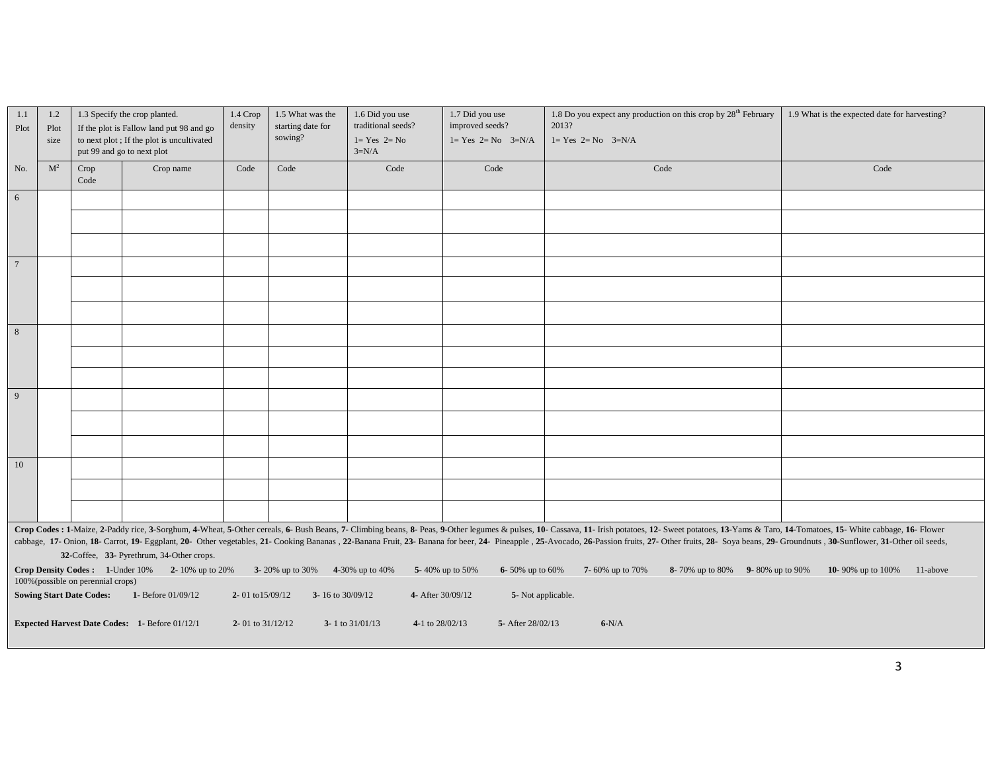| 1.1<br>Plot                                                                                                                                                                                                                                                                                                                                                                                                                                                                                                                                                                                                                                                                                                                                                 | 1.3 Specify the crop planted.<br>1.2<br>If the plot is Fallow land put 98 and go<br>Plot<br>to next plot; If the plot is uncultivated<br>size |                                    | $1.4$ Crop<br>density                                 | 1.5 What was the<br>starting date for<br>sowing? | 1.6 Did you use<br>traditional seeds?<br>$1 = Yes$ $2 = No$ | 1.7 Did you use<br>improved seeds?<br>$1 = Yes$ $2 = No$ $3=N/A$ | 1.8 Do you expect any production on this crop by $28th$ February<br>2013?<br>$1 = Yes$ $2 = No$ $3=N/A$ | 1.9 What is the expected date for harvesting? |      |
|-------------------------------------------------------------------------------------------------------------------------------------------------------------------------------------------------------------------------------------------------------------------------------------------------------------------------------------------------------------------------------------------------------------------------------------------------------------------------------------------------------------------------------------------------------------------------------------------------------------------------------------------------------------------------------------------------------------------------------------------------------------|-----------------------------------------------------------------------------------------------------------------------------------------------|------------------------------------|-------------------------------------------------------|--------------------------------------------------|-------------------------------------------------------------|------------------------------------------------------------------|---------------------------------------------------------------------------------------------------------|-----------------------------------------------|------|
|                                                                                                                                                                                                                                                                                                                                                                                                                                                                                                                                                                                                                                                                                                                                                             | put 99 and go to next plot                                                                                                                    |                                    |                                                       |                                                  |                                                             | $3=N/A$                                                          |                                                                                                         |                                               |      |
| No.                                                                                                                                                                                                                                                                                                                                                                                                                                                                                                                                                                                                                                                                                                                                                         | M <sup>2</sup>                                                                                                                                | Crop<br>Code                       | Crop name                                             | Code                                             | Code                                                        | Code                                                             | Code                                                                                                    | Code                                          | Code |
| 6                                                                                                                                                                                                                                                                                                                                                                                                                                                                                                                                                                                                                                                                                                                                                           |                                                                                                                                               |                                    |                                                       |                                                  |                                                             |                                                                  |                                                                                                         |                                               |      |
|                                                                                                                                                                                                                                                                                                                                                                                                                                                                                                                                                                                                                                                                                                                                                             |                                                                                                                                               |                                    |                                                       |                                                  |                                                             |                                                                  |                                                                                                         |                                               |      |
|                                                                                                                                                                                                                                                                                                                                                                                                                                                                                                                                                                                                                                                                                                                                                             |                                                                                                                                               |                                    |                                                       |                                                  |                                                             |                                                                  |                                                                                                         |                                               |      |
| $\overline{7}$                                                                                                                                                                                                                                                                                                                                                                                                                                                                                                                                                                                                                                                                                                                                              |                                                                                                                                               |                                    |                                                       |                                                  |                                                             |                                                                  |                                                                                                         |                                               |      |
|                                                                                                                                                                                                                                                                                                                                                                                                                                                                                                                                                                                                                                                                                                                                                             |                                                                                                                                               |                                    |                                                       |                                                  |                                                             |                                                                  |                                                                                                         |                                               |      |
|                                                                                                                                                                                                                                                                                                                                                                                                                                                                                                                                                                                                                                                                                                                                                             |                                                                                                                                               |                                    |                                                       |                                                  |                                                             |                                                                  |                                                                                                         |                                               |      |
| $\,$ 8 $\,$                                                                                                                                                                                                                                                                                                                                                                                                                                                                                                                                                                                                                                                                                                                                                 |                                                                                                                                               |                                    |                                                       |                                                  |                                                             |                                                                  |                                                                                                         |                                               |      |
|                                                                                                                                                                                                                                                                                                                                                                                                                                                                                                                                                                                                                                                                                                                                                             |                                                                                                                                               |                                    |                                                       |                                                  |                                                             |                                                                  |                                                                                                         |                                               |      |
|                                                                                                                                                                                                                                                                                                                                                                                                                                                                                                                                                                                                                                                                                                                                                             |                                                                                                                                               |                                    |                                                       |                                                  |                                                             |                                                                  |                                                                                                         |                                               |      |
| 9                                                                                                                                                                                                                                                                                                                                                                                                                                                                                                                                                                                                                                                                                                                                                           |                                                                                                                                               |                                    |                                                       |                                                  |                                                             |                                                                  |                                                                                                         |                                               |      |
|                                                                                                                                                                                                                                                                                                                                                                                                                                                                                                                                                                                                                                                                                                                                                             |                                                                                                                                               |                                    |                                                       |                                                  |                                                             |                                                                  |                                                                                                         |                                               |      |
|                                                                                                                                                                                                                                                                                                                                                                                                                                                                                                                                                                                                                                                                                                                                                             |                                                                                                                                               |                                    |                                                       |                                                  |                                                             |                                                                  |                                                                                                         |                                               |      |
| 10                                                                                                                                                                                                                                                                                                                                                                                                                                                                                                                                                                                                                                                                                                                                                          |                                                                                                                                               |                                    |                                                       |                                                  |                                                             |                                                                  |                                                                                                         |                                               |      |
|                                                                                                                                                                                                                                                                                                                                                                                                                                                                                                                                                                                                                                                                                                                                                             |                                                                                                                                               |                                    |                                                       |                                                  |                                                             |                                                                  |                                                                                                         |                                               |      |
|                                                                                                                                                                                                                                                                                                                                                                                                                                                                                                                                                                                                                                                                                                                                                             |                                                                                                                                               |                                    |                                                       |                                                  |                                                             |                                                                  |                                                                                                         |                                               |      |
| Crop Codes : 1-Maize, 2-Paddy rice, 3-Sorghum, 4-Wheat, 5-Other cereals, 6- Bush Beans, 7- Climbing beans, 8- Peas, 9-Other legumes & pulses, 10- Cassava, 11- Irish potatoes, 12- Sweet potatoes, 13-Yams & Taro, 14-Tomatoes<br>cabbage, 17- Onion, 18- Carrot, 19- Eggplant, 20- Other vegetables, 21- Cooking Bananas, 22-Banana Fruit, 23- Banana for beer, 24- Pineapple, 25- Avocado, 26-Passion fruits, 27- Other fruits, 28- Soya beans, 29- Groundnuts<br>32-Coffee, 33- Pyrethrum, 34-Other crops.<br><b>Crop Density Codes:</b> $1$ -Under $10\%$ $2$ - $10\%$ up to $20\%$<br>3-20% up to 30% 4-30% up to 40%<br>8-70% up to 80% 9-80% up to 90%<br>10-90% up to 100%<br>5-40% up to 50%<br>6-50% up to $60\%$<br>7- 60% up to 70%<br>11-above |                                                                                                                                               |                                    |                                                       |                                                  |                                                             |                                                                  |                                                                                                         |                                               |      |
|                                                                                                                                                                                                                                                                                                                                                                                                                                                                                                                                                                                                                                                                                                                                                             |                                                                                                                                               | 100% (possible on perennial crops) |                                                       |                                                  |                                                             |                                                                  |                                                                                                         |                                               |      |
|                                                                                                                                                                                                                                                                                                                                                                                                                                                                                                                                                                                                                                                                                                                                                             |                                                                                                                                               | <b>Sowing Start Date Codes:</b>    | 1- Before 01/09/12                                    | 2-01 to $15/09/12$                               | 3-16 to $30/09/12$                                          | 4- After 30/09/12                                                | 5- Not applicable.                                                                                      |                                               |      |
|                                                                                                                                                                                                                                                                                                                                                                                                                                                                                                                                                                                                                                                                                                                                                             |                                                                                                                                               |                                    | <b>Expected Harvest Date Codes: 1- Before 01/12/1</b> | 2- 01 to $31/12/12$                              |                                                             | 3-1 to $31/01/13$<br>4-1 to $28/02/13$                           | 5- After 28/02/13                                                                                       | $6-N/A$                                       |      |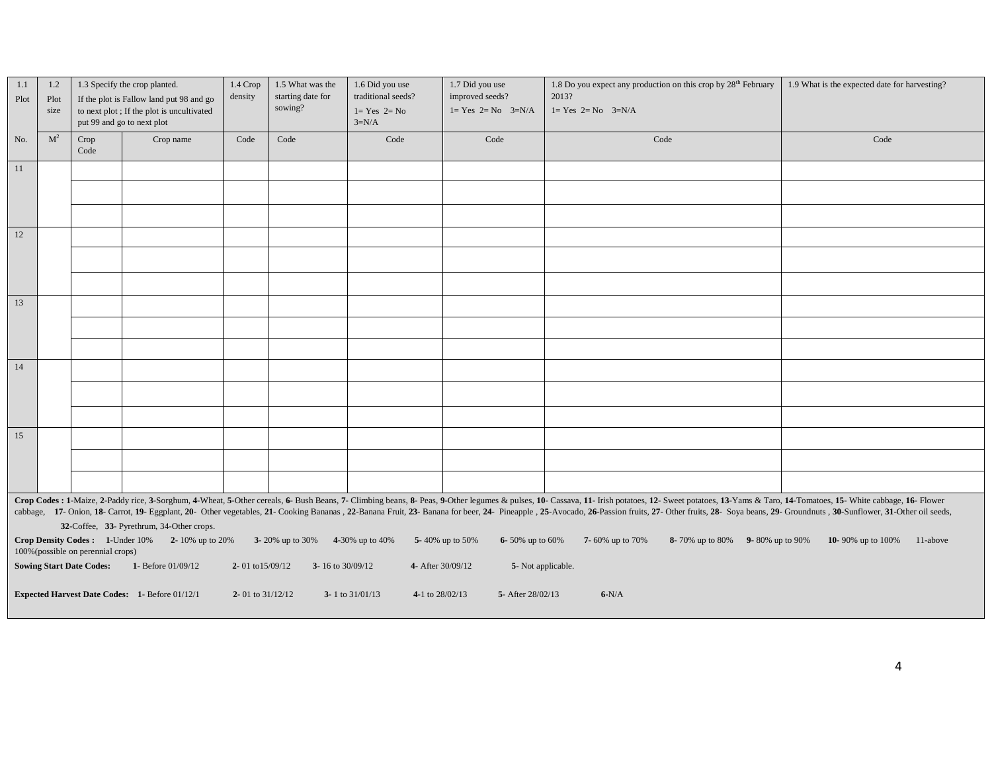| 1.1<br>Plot | 1.2<br>1.3 Specify the crop planted.<br>If the plot is Fallow land put 98 and go<br>Plot<br>to next plot; If the plot is uncultivated<br>size<br>put 99 and go to next plot                                                                                                                                                                                                                                                                                      |                                 | $1.4~\mathrm{Crop}$<br>density                 | 1.5 What was the<br>starting date for<br>sowing? | 1.6 Did you use<br>traditional seeds?<br>$1 = Yes$ $2 = No$<br>$3=N/A$ | 1.7 Did you use<br>improved seeds?<br>$1 = Yes$ $2 = No$ $3=N/A$ | 1.8 Do you expect any production on this crop by 28 <sup>th</sup> February<br>2013?<br>$1 = Yes$ $2 = No$ $3=N/A$ | 1.9 What is the expected date for harvesting? |      |
|-------------|------------------------------------------------------------------------------------------------------------------------------------------------------------------------------------------------------------------------------------------------------------------------------------------------------------------------------------------------------------------------------------------------------------------------------------------------------------------|---------------------------------|------------------------------------------------|--------------------------------------------------|------------------------------------------------------------------------|------------------------------------------------------------------|-------------------------------------------------------------------------------------------------------------------|-----------------------------------------------|------|
| No.         | M <sup>2</sup>                                                                                                                                                                                                                                                                                                                                                                                                                                                   | Crop<br>Code                    | Crop name                                      | Code                                             | Code                                                                   | Code                                                             | Code                                                                                                              | Code                                          | Code |
| 11          |                                                                                                                                                                                                                                                                                                                                                                                                                                                                  |                                 |                                                |                                                  |                                                                        |                                                                  |                                                                                                                   |                                               |      |
|             |                                                                                                                                                                                                                                                                                                                                                                                                                                                                  |                                 |                                                |                                                  |                                                                        |                                                                  |                                                                                                                   |                                               |      |
|             |                                                                                                                                                                                                                                                                                                                                                                                                                                                                  |                                 |                                                |                                                  |                                                                        |                                                                  |                                                                                                                   |                                               |      |
| 12          |                                                                                                                                                                                                                                                                                                                                                                                                                                                                  |                                 |                                                |                                                  |                                                                        |                                                                  |                                                                                                                   |                                               |      |
|             |                                                                                                                                                                                                                                                                                                                                                                                                                                                                  |                                 |                                                |                                                  |                                                                        |                                                                  |                                                                                                                   |                                               |      |
|             |                                                                                                                                                                                                                                                                                                                                                                                                                                                                  |                                 |                                                |                                                  |                                                                        |                                                                  |                                                                                                                   |                                               |      |
| 13          |                                                                                                                                                                                                                                                                                                                                                                                                                                                                  |                                 |                                                |                                                  |                                                                        |                                                                  |                                                                                                                   |                                               |      |
|             |                                                                                                                                                                                                                                                                                                                                                                                                                                                                  |                                 |                                                |                                                  |                                                                        |                                                                  |                                                                                                                   |                                               |      |
|             |                                                                                                                                                                                                                                                                                                                                                                                                                                                                  |                                 |                                                |                                                  |                                                                        |                                                                  |                                                                                                                   |                                               |      |
| 14          |                                                                                                                                                                                                                                                                                                                                                                                                                                                                  |                                 |                                                |                                                  |                                                                        |                                                                  |                                                                                                                   |                                               |      |
|             |                                                                                                                                                                                                                                                                                                                                                                                                                                                                  |                                 |                                                |                                                  |                                                                        |                                                                  |                                                                                                                   |                                               |      |
|             |                                                                                                                                                                                                                                                                                                                                                                                                                                                                  |                                 |                                                |                                                  |                                                                        |                                                                  |                                                                                                                   |                                               |      |
| 15          |                                                                                                                                                                                                                                                                                                                                                                                                                                                                  |                                 |                                                |                                                  |                                                                        |                                                                  |                                                                                                                   |                                               |      |
|             |                                                                                                                                                                                                                                                                                                                                                                                                                                                                  |                                 |                                                |                                                  |                                                                        |                                                                  |                                                                                                                   |                                               |      |
|             |                                                                                                                                                                                                                                                                                                                                                                                                                                                                  |                                 |                                                |                                                  |                                                                        |                                                                  |                                                                                                                   |                                               |      |
|             | Crop Codes : 1-Maize, 2-Paddy rice, 3-Sorghum, 4-Wheat, 5-Other cereals, 6- Bush Beans, 7- Climbing beans, 8- Peas, 9-Other legumes & pulses, 10- Cassava, 11- Irish potatoes, 12- Sweet potatoes, 13-Yams & Taro, 14-Tomatoes<br>cabbage, 17- Onion, 18- Carrot, 19- Eggplant, 20- Other vegetables, 21- Cooking Bananas, 22-Banana Fruit, 23- Banana for beer, 24- Pineapple, 25- Avocado, 26-Passion fruits, 27- Other fruits, 28- Soya beans, 29- Groundnuts |                                 |                                                |                                                  |                                                                        |                                                                  |                                                                                                                   |                                               |      |
|             | 32-Coffee, 33- Pyrethrum, 34-Other crops.<br>Crop Density Codes: 1-Under 10% 2-10% up to 20%<br>3-20% up to 30%<br>4-30% up to 40%<br>5-40% up to 50%<br>6-50% up to $60\%$<br>7-60% up to 70%<br>8-70% up to 80% 9-80% up to 90%<br>10-90% up to 100%<br>11-above<br>100% (possible on perennial crops)                                                                                                                                                         |                                 |                                                |                                                  |                                                                        |                                                                  |                                                                                                                   |                                               |      |
|             |                                                                                                                                                                                                                                                                                                                                                                                                                                                                  | <b>Sowing Start Date Codes:</b> | 1- Before 01/09/12                             | 2-01 to $15/09/12$                               | 3-16 to 30/09/12                                                       | 4- After 30/09/12                                                | 5- Not applicable.                                                                                                |                                               |      |
|             |                                                                                                                                                                                                                                                                                                                                                                                                                                                                  |                                 | Expected Harvest Date Codes: 1- Before 01/12/1 | 2- 01 to $31/12/12$                              |                                                                        | 3-1 to $31/01/13$<br>4-1 to 28/02/13                             | 5- After 28/02/13                                                                                                 | $6-N/A$                                       |      |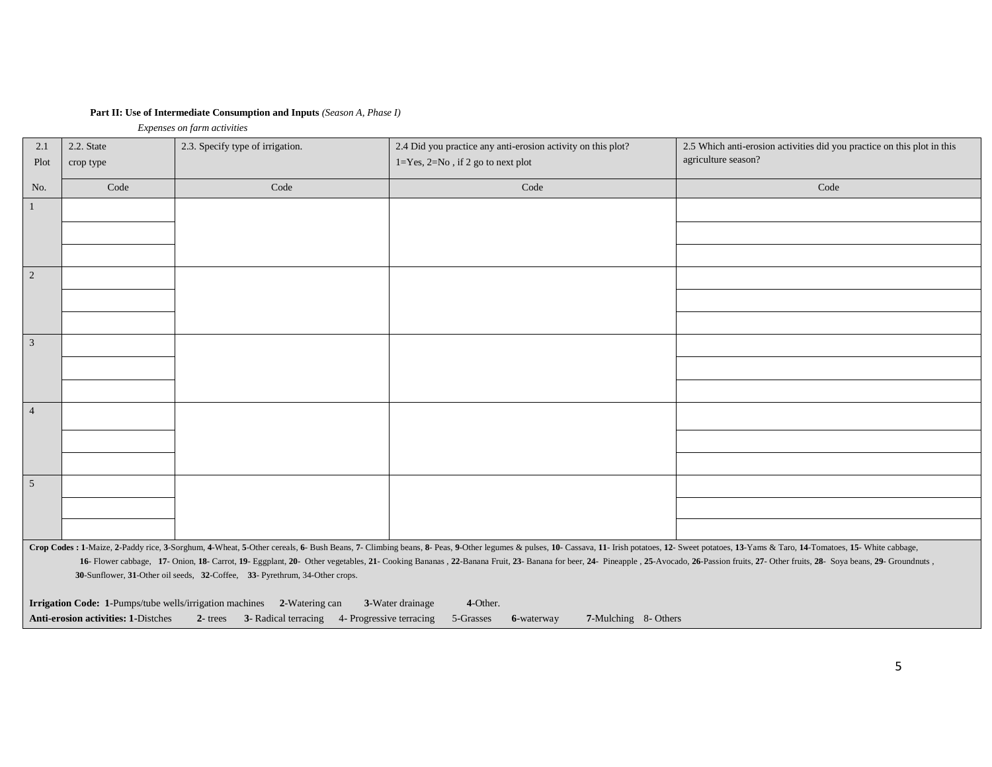## **Part II: Use of Intermediate Consumption and Inputs** *(Season A, Phase I)*

 *Expenses on farm activities*

| 2.1<br>Plot     | 2.2. State<br>crop type | 2.3. Specify type of irrigation.                                            | 2.4 Did you practice any anti-erosion activity on this plot?<br>$1 = Yes, 2 = No, if 2 go to next plot$                                                                                                                                                                                                                                                                                                                                                          | 2.5 Which anti-erosion activities did you practice on this plot in this<br>agriculture season? |
|-----------------|-------------------------|-----------------------------------------------------------------------------|------------------------------------------------------------------------------------------------------------------------------------------------------------------------------------------------------------------------------------------------------------------------------------------------------------------------------------------------------------------------------------------------------------------------------------------------------------------|------------------------------------------------------------------------------------------------|
| No.             | Code                    | Code                                                                        | Code                                                                                                                                                                                                                                                                                                                                                                                                                                                             | Code                                                                                           |
| $\overline{1}$  |                         |                                                                             |                                                                                                                                                                                                                                                                                                                                                                                                                                                                  |                                                                                                |
|                 |                         |                                                                             |                                                                                                                                                                                                                                                                                                                                                                                                                                                                  |                                                                                                |
|                 |                         |                                                                             |                                                                                                                                                                                                                                                                                                                                                                                                                                                                  |                                                                                                |
| $\boxed{2}$     |                         |                                                                             |                                                                                                                                                                                                                                                                                                                                                                                                                                                                  |                                                                                                |
|                 |                         |                                                                             |                                                                                                                                                                                                                                                                                                                                                                                                                                                                  |                                                                                                |
|                 |                         |                                                                             |                                                                                                                                                                                                                                                                                                                                                                                                                                                                  |                                                                                                |
| $\overline{3}$  |                         |                                                                             |                                                                                                                                                                                                                                                                                                                                                                                                                                                                  |                                                                                                |
|                 |                         |                                                                             |                                                                                                                                                                                                                                                                                                                                                                                                                                                                  |                                                                                                |
|                 |                         |                                                                             |                                                                                                                                                                                                                                                                                                                                                                                                                                                                  |                                                                                                |
| $\overline{4}$  |                         |                                                                             |                                                                                                                                                                                                                                                                                                                                                                                                                                                                  |                                                                                                |
|                 |                         |                                                                             |                                                                                                                                                                                                                                                                                                                                                                                                                                                                  |                                                                                                |
|                 |                         |                                                                             |                                                                                                                                                                                                                                                                                                                                                                                                                                                                  |                                                                                                |
| $5\overline{5}$ |                         |                                                                             |                                                                                                                                                                                                                                                                                                                                                                                                                                                                  |                                                                                                |
|                 |                         |                                                                             |                                                                                                                                                                                                                                                                                                                                                                                                                                                                  |                                                                                                |
|                 |                         |                                                                             |                                                                                                                                                                                                                                                                                                                                                                                                                                                                  |                                                                                                |
|                 |                         | 30-Sunflower, 31-Other oil seeds, 32-Coffee, 33- Pyrethrum, 34-Other crops. | Crop Codes : 1-Maize, 2-Paddy rice, 3-Sorghum, 4-Wheat, 5-Other cereals, 6- Bush Beans, 7- Climbing beans, 8- Peas, 9-Other legumes & pulses, 10- Cassava, 11- Irish potatoes, 12- Sweet potatoes, 13-Yams & Taro, 14-Tomatoes<br>16- Flower cabbage, 17- Onion, 18- Carrot, 19- Eggplant, 20- Other vegetables, 21- Cooking Bananas, 22-Banana Fruit, 23- Banana for beer, 24- Pineapple, 25- Avocado, 26-Passion fruits, 27- Other fruits, 28- Soya beans, 29- |                                                                                                |

| <b>Irrigation Code:</b> 1-Pumps/tube wells/irrigation machines 2-Watering can 3-Water drainage |  | 4-Other. |                                                                                                  |
|------------------------------------------------------------------------------------------------|--|----------|--------------------------------------------------------------------------------------------------|
| <b>Anti-erosion activities: 1-Distches</b>                                                     |  |          | 2- trees 3- Radical terracing 4- Progressive terracing 5-Grasses 6-waterway 7-Mulching 8- Others |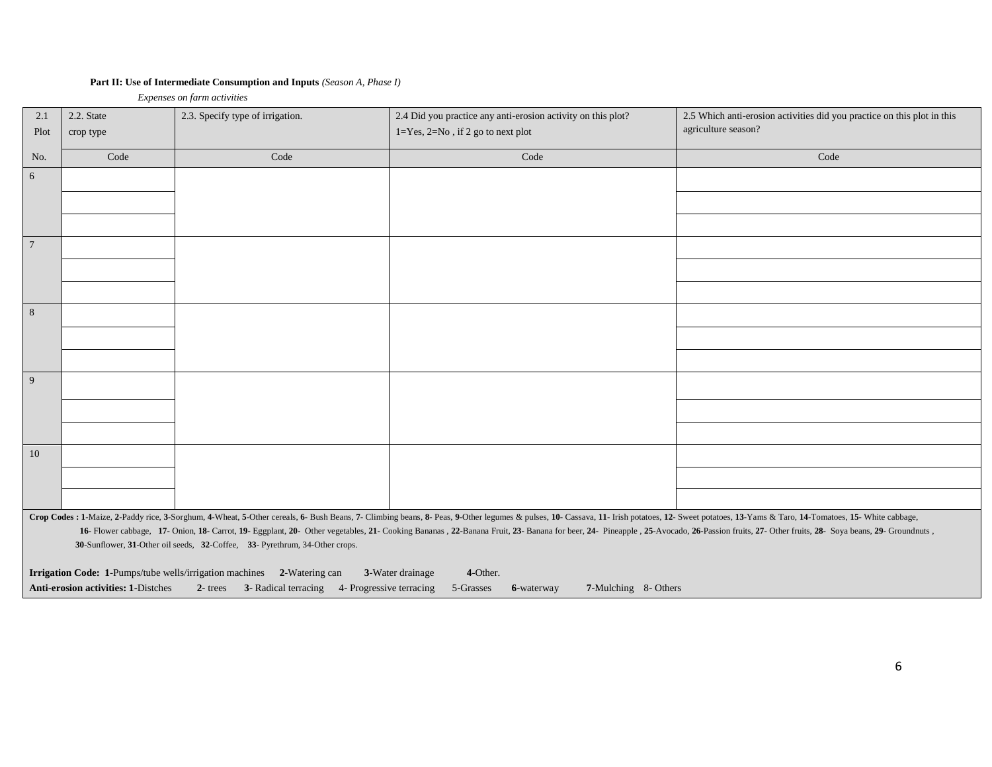## **Part II: Use of Intermediate Consumption and Inputs** *(Season A, Phase I)*

 *Expenses on farm activities*

| 2.1<br>Plot    | 2.2. State<br>crop type             | 2.3. Specify type of irrigation.                                            | 2.4 Did you practice any anti-erosion activity on this plot?<br>$1 = Yes, 2 = No, if 2 go to next plot$                                                                                                                        | 2.5 Which anti-erosion activities did you practice on this plot in this<br>agriculture season? |
|----------------|-------------------------------------|-----------------------------------------------------------------------------|--------------------------------------------------------------------------------------------------------------------------------------------------------------------------------------------------------------------------------|------------------------------------------------------------------------------------------------|
| No.            | Code                                | Code                                                                        | Code                                                                                                                                                                                                                           | Code                                                                                           |
|                |                                     |                                                                             |                                                                                                                                                                                                                                |                                                                                                |
| 6              |                                     |                                                                             |                                                                                                                                                                                                                                |                                                                                                |
|                |                                     |                                                                             |                                                                                                                                                                                                                                |                                                                                                |
|                |                                     |                                                                             |                                                                                                                                                                                                                                |                                                                                                |
| $\overline{7}$ |                                     |                                                                             |                                                                                                                                                                                                                                |                                                                                                |
|                |                                     |                                                                             |                                                                                                                                                                                                                                |                                                                                                |
|                |                                     |                                                                             |                                                                                                                                                                                                                                |                                                                                                |
| $8\,$          |                                     |                                                                             |                                                                                                                                                                                                                                |                                                                                                |
|                |                                     |                                                                             |                                                                                                                                                                                                                                |                                                                                                |
|                |                                     |                                                                             |                                                                                                                                                                                                                                |                                                                                                |
| 9              |                                     |                                                                             |                                                                                                                                                                                                                                |                                                                                                |
|                |                                     |                                                                             |                                                                                                                                                                                                                                |                                                                                                |
|                |                                     |                                                                             |                                                                                                                                                                                                                                |                                                                                                |
| 10             |                                     |                                                                             |                                                                                                                                                                                                                                |                                                                                                |
|                |                                     |                                                                             |                                                                                                                                                                                                                                |                                                                                                |
|                |                                     |                                                                             |                                                                                                                                                                                                                                |                                                                                                |
|                |                                     |                                                                             | Crop Codes : 1-Maize, 2-Paddy rice, 3-Sorghum, 4-Wheat, 5-Other cereals, 6- Bush Beans, 7- Climbing beans, 8- Peas, 9-Other legumes & pulses, 10- Cassava, 11- Irish potatoes, 12- Sweet potatoes, 13-Yams & Taro, 14-Tomatoes |                                                                                                |
|                |                                     |                                                                             | 16- Flower cabbage, 17- Onion, 18- Carrot, 19- Eggplant, 20- Other vegetables, 21- Cooking Bananas, 22-Banana Fruit, 23- Banana for beer, 24- Pineapple, 25- Avocado, 26-Passion fruits, 27- Other fruits, 28- Soya beans, 29- |                                                                                                |
|                |                                     | 30-Sunflower, 31-Other oil seeds, 32-Coffee, 33- Pyrethrum, 34-Other crops. |                                                                                                                                                                                                                                |                                                                                                |
|                |                                     | Irrigation Code: 1-Pumps/tube wells/irrigation machines 2-Watering can      | 3-Water drainage<br>4-Other.                                                                                                                                                                                                   |                                                                                                |
|                | Anti-erosion activities: 1-Distches | 2- trees 3- Radical terracing 4- Progressive terracing                      | 5-Grasses<br>7-Mulching 8- Others<br>6-waterway                                                                                                                                                                                |                                                                                                |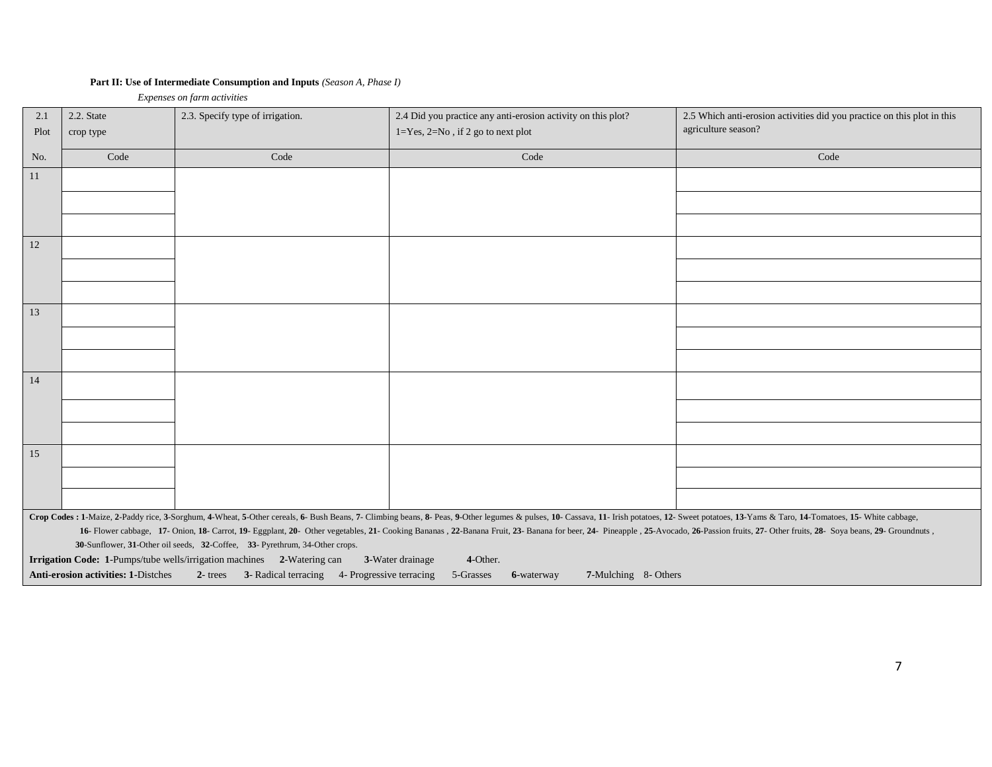## **Part II: Use of Intermediate Consumption and Inputs** *(Season A, Phase I)*

 *Expenses on farm activities*

| 2.1  | 2.2. State                          | 2.3. Specify type of irrigation.                                            | 2.4 Did you practice any anti-erosion activity on this plot?                                                                                                                                                                   | 2.5 Which anti-erosion activities did you practice on this plot in this |
|------|-------------------------------------|-----------------------------------------------------------------------------|--------------------------------------------------------------------------------------------------------------------------------------------------------------------------------------------------------------------------------|-------------------------------------------------------------------------|
| Plot | crop type                           |                                                                             | $1 = Yes, 2 = No$ , if 2 go to next plot                                                                                                                                                                                       | agriculture season?                                                     |
| No.  | Code                                | Code                                                                        | Code                                                                                                                                                                                                                           | Code                                                                    |
| 11   |                                     |                                                                             |                                                                                                                                                                                                                                |                                                                         |
|      |                                     |                                                                             |                                                                                                                                                                                                                                |                                                                         |
|      |                                     |                                                                             |                                                                                                                                                                                                                                |                                                                         |
| 12   |                                     |                                                                             |                                                                                                                                                                                                                                |                                                                         |
|      |                                     |                                                                             |                                                                                                                                                                                                                                |                                                                         |
|      |                                     |                                                                             |                                                                                                                                                                                                                                |                                                                         |
| 13   |                                     |                                                                             |                                                                                                                                                                                                                                |                                                                         |
|      |                                     |                                                                             |                                                                                                                                                                                                                                |                                                                         |
|      |                                     |                                                                             |                                                                                                                                                                                                                                |                                                                         |
| 14   |                                     |                                                                             |                                                                                                                                                                                                                                |                                                                         |
|      |                                     |                                                                             |                                                                                                                                                                                                                                |                                                                         |
|      |                                     |                                                                             |                                                                                                                                                                                                                                |                                                                         |
| 15   |                                     |                                                                             |                                                                                                                                                                                                                                |                                                                         |
|      |                                     |                                                                             |                                                                                                                                                                                                                                |                                                                         |
|      |                                     |                                                                             |                                                                                                                                                                                                                                |                                                                         |
|      |                                     |                                                                             | Crop Codes : 1-Maize, 2-Paddy rice, 3-Sorghum, 4-Wheat, 5-Other cereals, 6- Bush Beans, 7- Climbing beans, 8- Peas, 9-Other legumes & pulses, 10- Cassava, 11- Irish potatoes, 12- Sweet potatoes, 13-Yams & Taro, 14-Tomatoes |                                                                         |
|      |                                     |                                                                             | 16- Flower cabbage, 17- Onion, 18- Carrot, 19- Eggplant, 20- Other vegetables, 21- Cooking Bananas, 22-Banana Fruit, 23- Banana for beer, 24- Pineapple, 25- Avocado, 26-Passion fruits, 27- Other fruits, 28- Soya beans, 29- |                                                                         |
|      |                                     | 30-Sunflower, 31-Other oil seeds, 32-Coffee, 33- Pyrethrum, 34-Other crops. |                                                                                                                                                                                                                                |                                                                         |
|      |                                     | Irrigation Code: 1-Pumps/tube wells/irrigation machines 2-Watering can      | 3-Water drainage<br>4-Other.                                                                                                                                                                                                   |                                                                         |
|      | Anti-erosion activities: 1-Distches | 2- trees 3- Radical terracing 4- Progressive terracing                      | 5-Grasses<br>7-Mulching 8- Others<br>6-waterway                                                                                                                                                                                |                                                                         |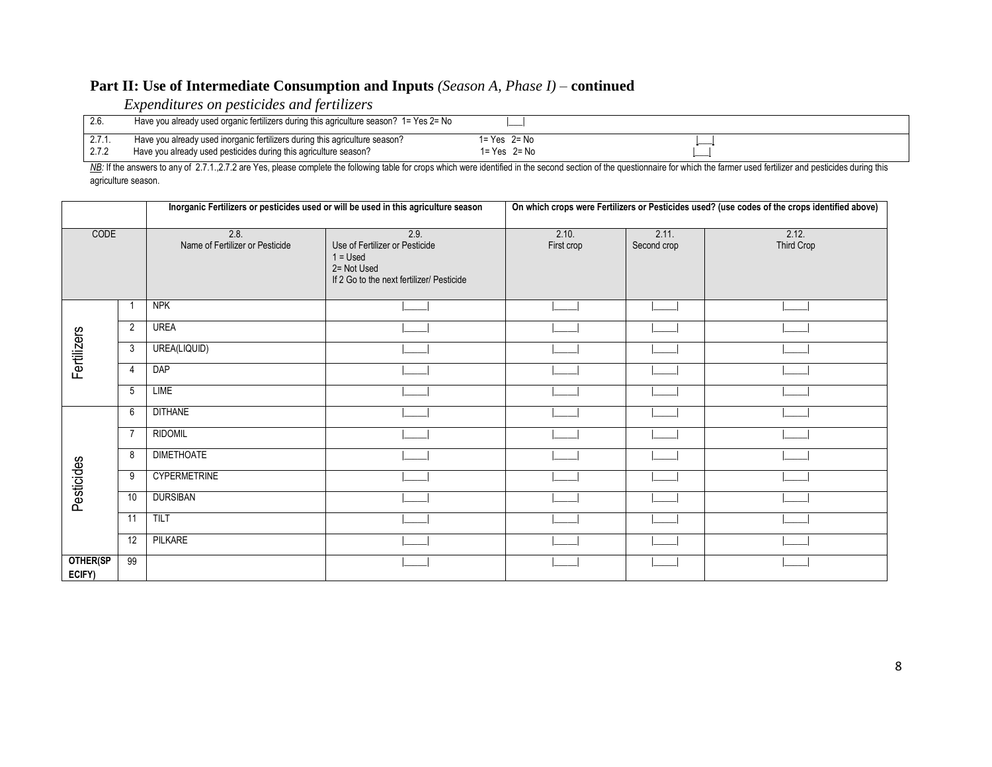# **Part II: Use of Intermediate Consumption and Inputs** *(Season A, Phase I) –* **continued**

*Expenditures on pesticides and fertilizers*

| 2.6    | Have you already used organic fertilizers during this agriculture season? $1 = Yes 2 = No$ |                    |  |
|--------|--------------------------------------------------------------------------------------------|--------------------|--|
| 2.1.1. | Have you already used inorganic fertilizers during this agriculture season?                | $1 = Yes$ $2 = No$ |  |
| 4.I.Z  | Have you already used pesticides during this agriculture season?                           | 1= Yes 2= No       |  |

NB: If the answers to any of 2.7.1.,2.7.2 are Yes, please complete the following table for crops which were identified in the second section of the questionnaire for which the farmer used fertilizer and pesticides during t agriculture season.

|                    |                |                                         | Inorganic Fertilizers or pesticides used or will be used in this agriculture season                              | On which crops were Fertilizers or Pesticides used? (use codes of the crops identified above) |                      |                     |  |
|--------------------|----------------|-----------------------------------------|------------------------------------------------------------------------------------------------------------------|-----------------------------------------------------------------------------------------------|----------------------|---------------------|--|
| CODE               |                | 2.8.<br>Name of Fertilizer or Pesticide | 2.9.<br>Use of Fertilizer or Pesticide<br>$1 =$ Used<br>2= Not Used<br>If 2 Go to the next fertilizer/ Pesticide | 2.10.<br>First crop                                                                           | 2.11.<br>Second crop | 2.12.<br>Third Crop |  |
|                    |                | <b>NPK</b>                              |                                                                                                                  |                                                                                               |                      |                     |  |
|                    | $\overline{2}$ | <b>UREA</b>                             |                                                                                                                  |                                                                                               |                      |                     |  |
| Fertilizers        | 3              | UREA(LIQUID)                            |                                                                                                                  |                                                                                               |                      |                     |  |
|                    | $\overline{4}$ | <b>DAP</b>                              |                                                                                                                  |                                                                                               |                      |                     |  |
|                    | 5              | LIME                                    |                                                                                                                  |                                                                                               |                      |                     |  |
|                    | 6              | <b>DITHANE</b>                          |                                                                                                                  |                                                                                               |                      |                     |  |
|                    | $\overline{7}$ | <b>RIDOMIL</b>                          |                                                                                                                  |                                                                                               |                      |                     |  |
|                    | 8              | <b>DIMETHOATE</b>                       |                                                                                                                  |                                                                                               |                      |                     |  |
| Pesticides         | 9              | <b>CYPERMETRINE</b>                     |                                                                                                                  |                                                                                               |                      |                     |  |
|                    | 10             | <b>DURSIBAN</b>                         |                                                                                                                  |                                                                                               |                      |                     |  |
|                    | 11             | TILT                                    |                                                                                                                  |                                                                                               |                      |                     |  |
|                    | 12             | PILKARE                                 |                                                                                                                  |                                                                                               |                      |                     |  |
| OTHER(SP<br>ECIFY) | 99             |                                         |                                                                                                                  |                                                                                               |                      |                     |  |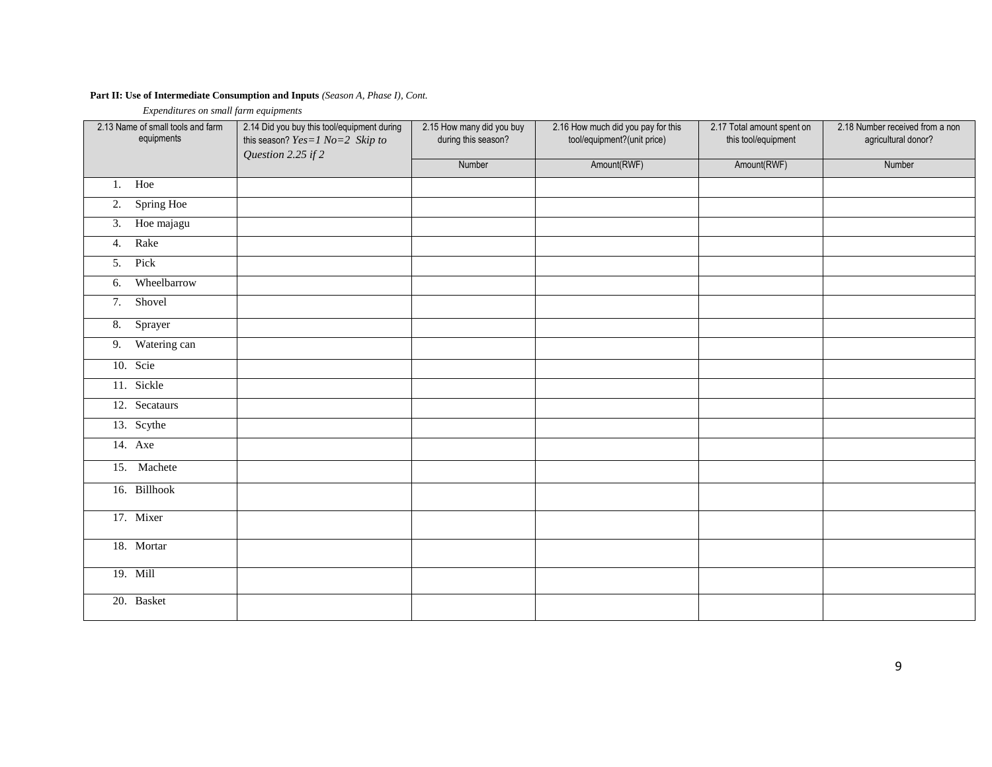## **Part II: Use of Intermediate Consumption and Inputs** *(Season A, Phase I), Cont.*

 *Expenditures on small farm equipments*

| 2.13 Name of small tools and farm<br>equipments | 2.14 Did you buy this tool/equipment during<br>this season? $Yes=1$ $No=2$ Skip to<br>Question 2.25 if 2 | 2.15 How many did you buy<br>during this season? | 2.16 How much did you pay for this<br>tool/equipment?(unit price) | 2.17 Total amount spent on<br>this tool/equipment | 2.18 Number received from a non<br>agricultural donor? |
|-------------------------------------------------|----------------------------------------------------------------------------------------------------------|--------------------------------------------------|-------------------------------------------------------------------|---------------------------------------------------|--------------------------------------------------------|
|                                                 |                                                                                                          | Number                                           | Amount(RWF)                                                       | Amount(RWF)                                       | Number                                                 |
| 1. Hoe                                          |                                                                                                          |                                                  |                                                                   |                                                   |                                                        |
| 2. Spring Hoe                                   |                                                                                                          |                                                  |                                                                   |                                                   |                                                        |
| Hoe majagu<br>3.                                |                                                                                                          |                                                  |                                                                   |                                                   |                                                        |
| Rake<br>4.                                      |                                                                                                          |                                                  |                                                                   |                                                   |                                                        |
| Pick<br>5.                                      |                                                                                                          |                                                  |                                                                   |                                                   |                                                        |
| Wheelbarrow<br>6.                               |                                                                                                          |                                                  |                                                                   |                                                   |                                                        |
| Shovel<br>7.                                    |                                                                                                          |                                                  |                                                                   |                                                   |                                                        |
| 8. Sprayer                                      |                                                                                                          |                                                  |                                                                   |                                                   |                                                        |
| Watering can<br>9.                              |                                                                                                          |                                                  |                                                                   |                                                   |                                                        |
| 10. Scie                                        |                                                                                                          |                                                  |                                                                   |                                                   |                                                        |
| 11. Sickle                                      |                                                                                                          |                                                  |                                                                   |                                                   |                                                        |
| 12. Secataurs                                   |                                                                                                          |                                                  |                                                                   |                                                   |                                                        |
| 13. Scythe                                      |                                                                                                          |                                                  |                                                                   |                                                   |                                                        |
| 14. Axe                                         |                                                                                                          |                                                  |                                                                   |                                                   |                                                        |
| 15. Machete                                     |                                                                                                          |                                                  |                                                                   |                                                   |                                                        |
| 16. Billhook                                    |                                                                                                          |                                                  |                                                                   |                                                   |                                                        |
| 17. Mixer                                       |                                                                                                          |                                                  |                                                                   |                                                   |                                                        |
| 18. Mortar                                      |                                                                                                          |                                                  |                                                                   |                                                   |                                                        |
| 19. Mill                                        |                                                                                                          |                                                  |                                                                   |                                                   |                                                        |
| 20. Basket                                      |                                                                                                          |                                                  |                                                                   |                                                   |                                                        |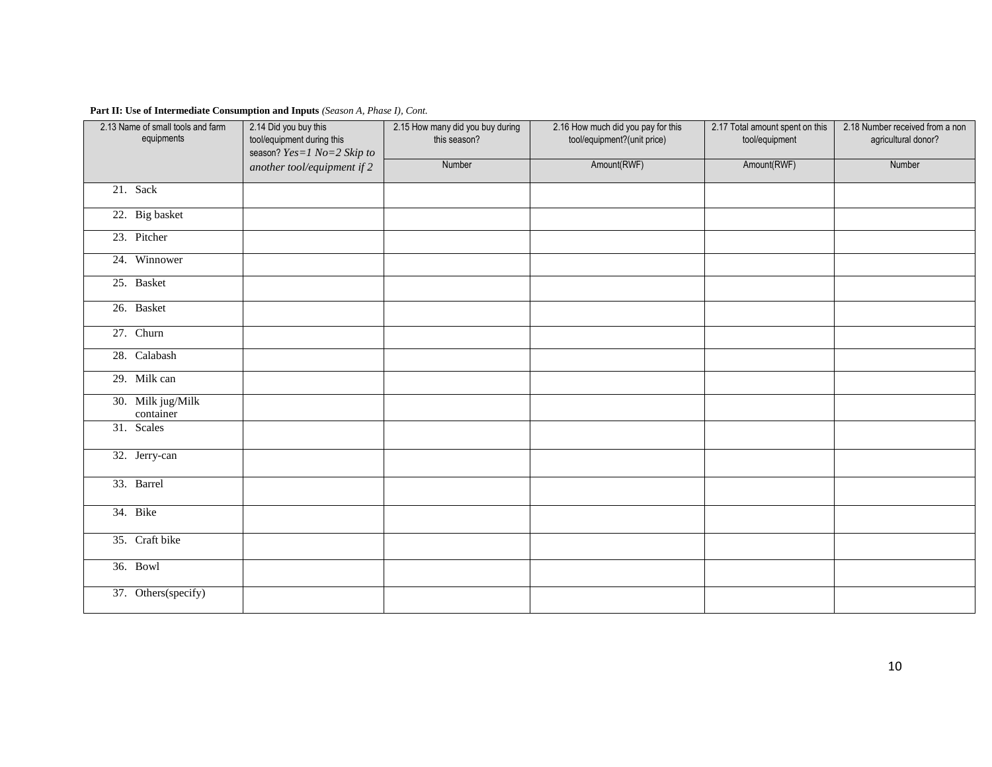## **Part II: Use of Intermediate Consumption and Inputs** *(Season A, Phase I), Cont.*

| 2.13 Name of small tools and farm<br>equipments | 2.14 Did you buy this<br>tool/equipment during this<br>season? Yes=1 No=2 Skip to | 2.15 How many did you buy during<br>this season? | 2.16 How much did you pay for this<br>tool/equipment?(unit price) | 2.17 Total amount spent on this<br>tool/equipment | 2.18 Number received from a non<br>agricultural donor? |
|-------------------------------------------------|-----------------------------------------------------------------------------------|--------------------------------------------------|-------------------------------------------------------------------|---------------------------------------------------|--------------------------------------------------------|
|                                                 | another tool/equipment if 2                                                       | Number                                           | Amount(RWF)                                                       | Amount(RWF)                                       | Number                                                 |
| 21. Sack                                        |                                                                                   |                                                  |                                                                   |                                                   |                                                        |
| 22. Big basket                                  |                                                                                   |                                                  |                                                                   |                                                   |                                                        |
| 23. Pitcher                                     |                                                                                   |                                                  |                                                                   |                                                   |                                                        |
| 24. Winnower                                    |                                                                                   |                                                  |                                                                   |                                                   |                                                        |
| 25. Basket                                      |                                                                                   |                                                  |                                                                   |                                                   |                                                        |
| 26. Basket                                      |                                                                                   |                                                  |                                                                   |                                                   |                                                        |
| 27. Churn                                       |                                                                                   |                                                  |                                                                   |                                                   |                                                        |
| 28. Calabash                                    |                                                                                   |                                                  |                                                                   |                                                   |                                                        |
| 29. Milk can                                    |                                                                                   |                                                  |                                                                   |                                                   |                                                        |
| 30. Milk jug/Milk<br>container                  |                                                                                   |                                                  |                                                                   |                                                   |                                                        |
| 31. Scales                                      |                                                                                   |                                                  |                                                                   |                                                   |                                                        |
| 32. Jerry-can                                   |                                                                                   |                                                  |                                                                   |                                                   |                                                        |
| 33. Barrel                                      |                                                                                   |                                                  |                                                                   |                                                   |                                                        |
| 34. Bike                                        |                                                                                   |                                                  |                                                                   |                                                   |                                                        |
| 35. Craft bike                                  |                                                                                   |                                                  |                                                                   |                                                   |                                                        |
| 36. Bowl                                        |                                                                                   |                                                  |                                                                   |                                                   |                                                        |
| 37. Others(specify)                             |                                                                                   |                                                  |                                                                   |                                                   |                                                        |